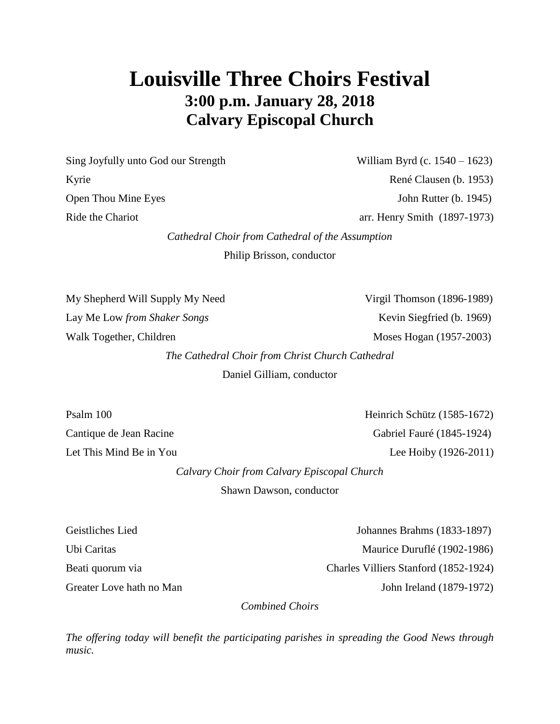# **Louisville Three Choirs Festival 3:00 p.m. January 28, 2018 Calvary Episcopal Church**

Sing Joyfully unto God our Strength William Byrd (c. 1540 – 1623) Kyrie René Clausen (b. 1953) Open Thou Mine Eyes John Rutter (b. 1945)

Ride the Chariot arr. Henry Smith (1897-1973)

*Cathedral Choir from Cathedral of the Assumption*

Philip Brisson, conductor

My Shepherd Will Supply My Need Virgil Thomson (1896-1989) Lay Me Low *from Shaker Songs* Sexteen School and Siegfried (b. 1969) Walk Together, Children Moses Hogan (1957-2003)

*The Cathedral Choir from Christ Church Cathedral*

Daniel Gilliam, conductor

Psalm 100 Heinrich Schütz (1585-1672) Cantique de Jean Racine Gabriel Fauré (1845-1924) Let This Mind Be in You Lee Hoiby (1926-2011)

*Calvary Choir from Calvary Episcopal Church*

Shawn Dawson, conductor

Geistliches Lied Johannes Brahms (1833-1897) Ubi Caritas Maurice Duruflé (1902-1986) Beati quorum via Charles Villiers Stanford (1852-1924) Greater Love hath no Man John Ireland (1879-1972)

*Combined Choirs*

*The offering today will benefit the participating parishes in spreading the Good News through music.*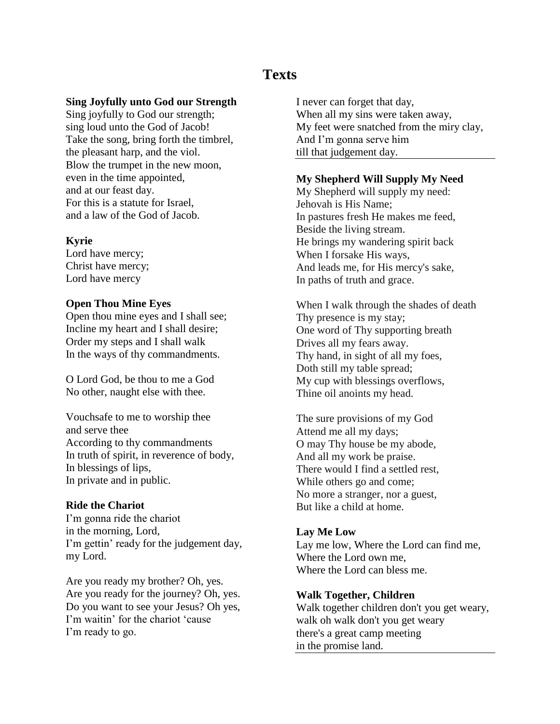# **Texts**

# **Sing Joyfully unto God our Strength**

Sing joyfully to God our strength; sing loud unto the God of Jacob! Take the song, bring forth the timbrel, the pleasant harp, and the viol. Blow the trumpet in the new moon, even in the time appointed, and at our feast day. For this is a statute for Israel, and a law of the God of Jacob.

# **Kyrie**

Lord have mercy; Christ have mercy; Lord have mercy

#### **Open Thou Mine Eyes**

Open thou mine eyes and I shall see; Incline my heart and I shall desire; Order my steps and I shall walk In the ways of thy commandments.

O Lord God, be thou to me a God No other, naught else with thee.

Vouchsafe to me to worship thee and serve thee According to thy commandments In truth of spirit, in reverence of body, In blessings of lips, In private and in public.

#### **Ride the Chariot**

I'm gonna ride the chariot in the morning, Lord, I'm gettin' ready for the judgement day, my Lord.

Are you ready my brother? Oh, yes. Are you ready for the journey? Oh, yes. Do you want to see your Jesus? Oh yes, I'm waitin' for the chariot 'cause I'm ready to go.

I never can forget that day, When all my sins were taken away, My feet were snatched from the miry clay, And I'm gonna serve him till that judgement day.

#### **My Shepherd Will Supply My Need**

My Shepherd will supply my need: Jehovah is His Name; In pastures fresh He makes me feed, Beside the living stream. He brings my wandering spirit back When I forsake His ways, And leads me, for His mercy's sake, In paths of truth and grace.

When I walk through the shades of death Thy presence is my stay; One word of Thy supporting breath Drives all my fears away. Thy hand, in sight of all my foes, Doth still my table spread; My cup with blessings overflows, Thine oil anoints my head.

The sure provisions of my God Attend me all my days; O may Thy house be my abode, And all my work be praise. There would I find a settled rest, While others go and come; No more a stranger, nor a guest, But like a child at home.

#### **Lay Me Low**

Lay me low, Where the Lord can find me, Where the Lord own me, Where the Lord can bless me.

#### **Walk Together, Children**

Walk together children don't you get weary, walk oh walk don't you get weary there's a great camp meeting in the promise land.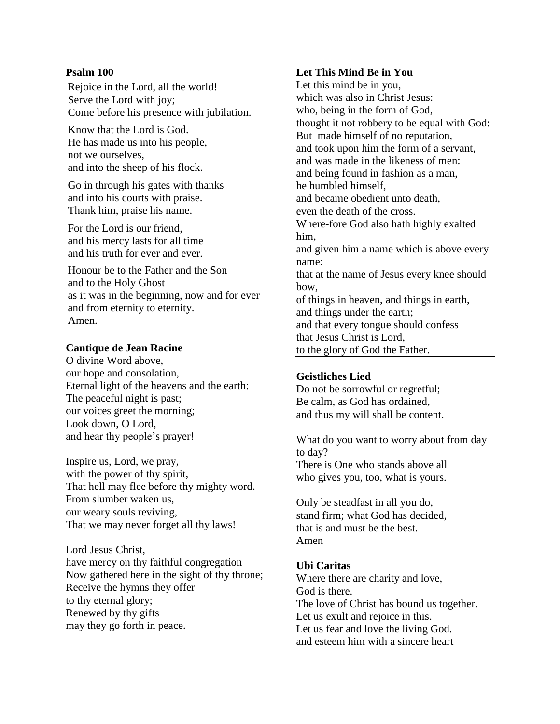# **Psalm 100**

Rejoice in the Lord, all the world! Serve the Lord with joy; Come before his presence with jubilation.

Know that the Lord is God. He has made us into his people, not we ourselves, and into the sheep of his flock.

Go in through his gates with thanks and into his courts with praise. Thank him, praise his name.

For the Lord is our friend, and his mercy lasts for all time and his truth for ever and ever.

Honour be to the Father and the Son and to the Holy Ghost as it was in the beginning, now and for ever and from eternity to eternity. Amen.

# **Cantique de Jean Racine**

O divine Word above, our hope and consolation, Eternal light of the heavens and the earth: The peaceful night is past; our voices greet the morning; Look down, O Lord, and hear thy people's prayer!

Inspire us, Lord, we pray, with the power of thy spirit, That hell may flee before thy mighty word. From slumber waken us, our weary souls reviving, That we may never forget all thy laws!

Lord Jesus Christ, have mercy on thy faithful congregation Now gathered here in the sight of thy throne; Receive the hymns they offer to thy eternal glory; Renewed by thy gifts may they go forth in peace.

# **Let This Mind Be in You**

Let this mind be in you, which was also in Christ Jesus: who, being in the form of God, thought it not robbery to be equal with God: But made himself of no reputation, and took upon him the form of a servant, and was made in the likeness of men: and being found in fashion as a man, he humbled himself, and became obedient unto death, even the death of the cross. Where-fore God also hath highly exalted him, and given him a name which is above every name: that at the name of Jesus every knee should bow, of things in heaven, and things in earth, and things under the earth; and that every tongue should confess that Jesus Christ is Lord, to the glory of God the Father.

# **Geistliches Lied**

Do not be sorrowful or regretful; Be calm, as God has ordained, and thus my will shall be content.

What do you want to worry about from day to day? There is One who stands above all who gives you, too, what is yours.

Only be steadfast in all you do, stand firm; what God has decided, that is and must be the best. Amen

# **Ubi Caritas**

Where there are charity and love, God is there. The love of Christ has bound us together. Let us exult and rejoice in this. Let us fear and love the living God. and esteem him with a sincere heart